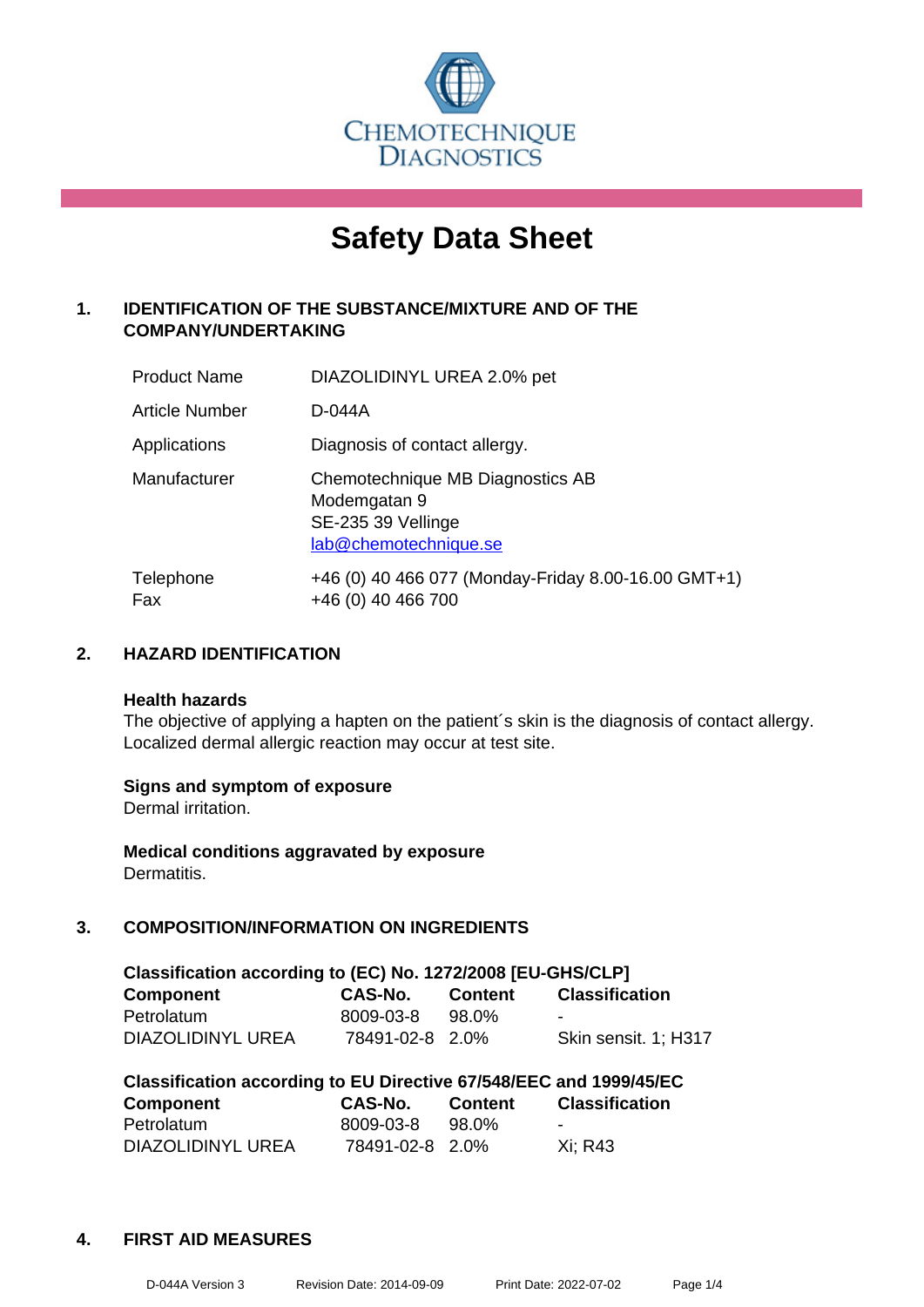

# **Safety Data Sheet**

# **1. IDENTIFICATION OF THE SUBSTANCE/MIXTURE AND OF THE COMPANY/UNDERTAKING**

| <b>Product Name</b>   | DIAZOLIDINYL UREA 2.0% pet                                                                      |
|-----------------------|-------------------------------------------------------------------------------------------------|
| <b>Article Number</b> | D-044A                                                                                          |
| Applications          | Diagnosis of contact allergy.                                                                   |
| Manufacturer          | Chemotechnique MB Diagnostics AB<br>Modemgatan 9<br>SE-235 39 Vellinge<br>lab@chemotechnique.se |
| Telephone<br>Fax      | +46 (0) 40 466 077 (Monday-Friday 8.00-16.00 GMT+1)<br>+46 (0) 40 466 700                       |

# **2. HAZARD IDENTIFICATION**

#### **Health hazards**

The objective of applying a hapten on the patient's skin is the diagnosis of contact allergy. Localized dermal allergic reaction may occur at test site.

#### **Signs and symptom of exposure**

Dermal irritation.

**Medical conditions aggravated by exposure** Dermatitis.

# **3. COMPOSITION/INFORMATION ON INGREDIENTS**

| Classification according to (EC) No. 1272/2008 [EU-GHS/CLP] |                 |         |                       |  |
|-------------------------------------------------------------|-----------------|---------|-----------------------|--|
| <b>Component</b>                                            | CAS-No.         | Content | <b>Classification</b> |  |
| Petrolatum                                                  | 8009-03-8       | 98.0%   | -                     |  |
| DIAZOLIDINYL UREA                                           | 78491-02-8 2.0% |         | Skin sensit. 1: H317  |  |

| Classification according to EU Directive 67/548/EEC and 1999/45/EC |                 |                |                          |  |
|--------------------------------------------------------------------|-----------------|----------------|--------------------------|--|
| Component                                                          | CAS-No.         | <b>Content</b> | <b>Classification</b>    |  |
| Petrolatum                                                         | 8009-03-8       | 98.0%          | $\overline{\phantom{0}}$ |  |
| DIAZOLIDINYL UREA                                                  | 78491-02-8 2.0% |                | Xi: R43                  |  |

#### **4. FIRST AID MEASURES**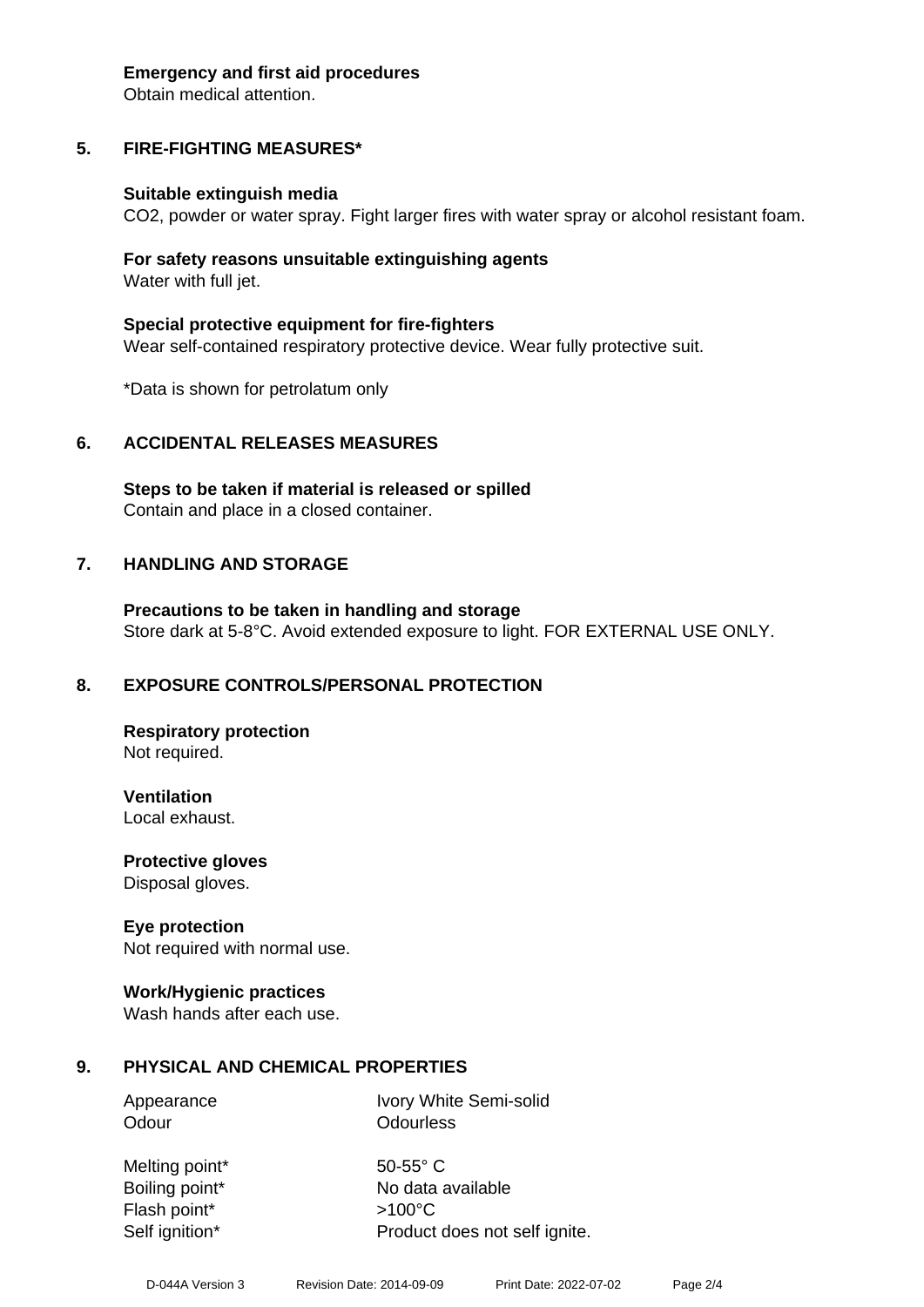#### **Emergency and first aid procedures**

Obtain medical attention.

# **5. FIRE-FIGHTING MEASURES\***

#### **Suitable extinguish media**

CO2, powder or water spray. Fight larger fires with water spray or alcohol resistant foam.

#### **For safety reasons unsuitable extinguishing agents** Water with full jet.

**Special protective equipment for fire-fighters** Wear self-contained respiratory protective device. Wear fully protective suit.

\*Data is shown for petrolatum only

#### **6. ACCIDENTAL RELEASES MEASURES**

**Steps to be taken if material is released or spilled** Contain and place in a closed container.

#### **7. HANDLING AND STORAGE**

**Precautions to be taken in handling and storage** Store dark at 5-8°C. Avoid extended exposure to light. FOR EXTERNAL USE ONLY.

#### **8. EXPOSURE CONTROLS/PERSONAL PROTECTION**

**Respiratory protection** Not required.

**Ventilation** Local exhaust.

**Protective gloves** Disposal gloves.

#### **Eye protection**

Not required with normal use.

#### **Work/Hygienic practices**

Wash hands after each use.

#### **9. PHYSICAL AND CHEMICAL PROPERTIES**

Odour **Odourless** 

Appearance Ivory White Semi-solid

Melting point\* 50-55° C Flash point\* >100°C

Boiling point\* No data available Self ignition\* Product does not self ignite.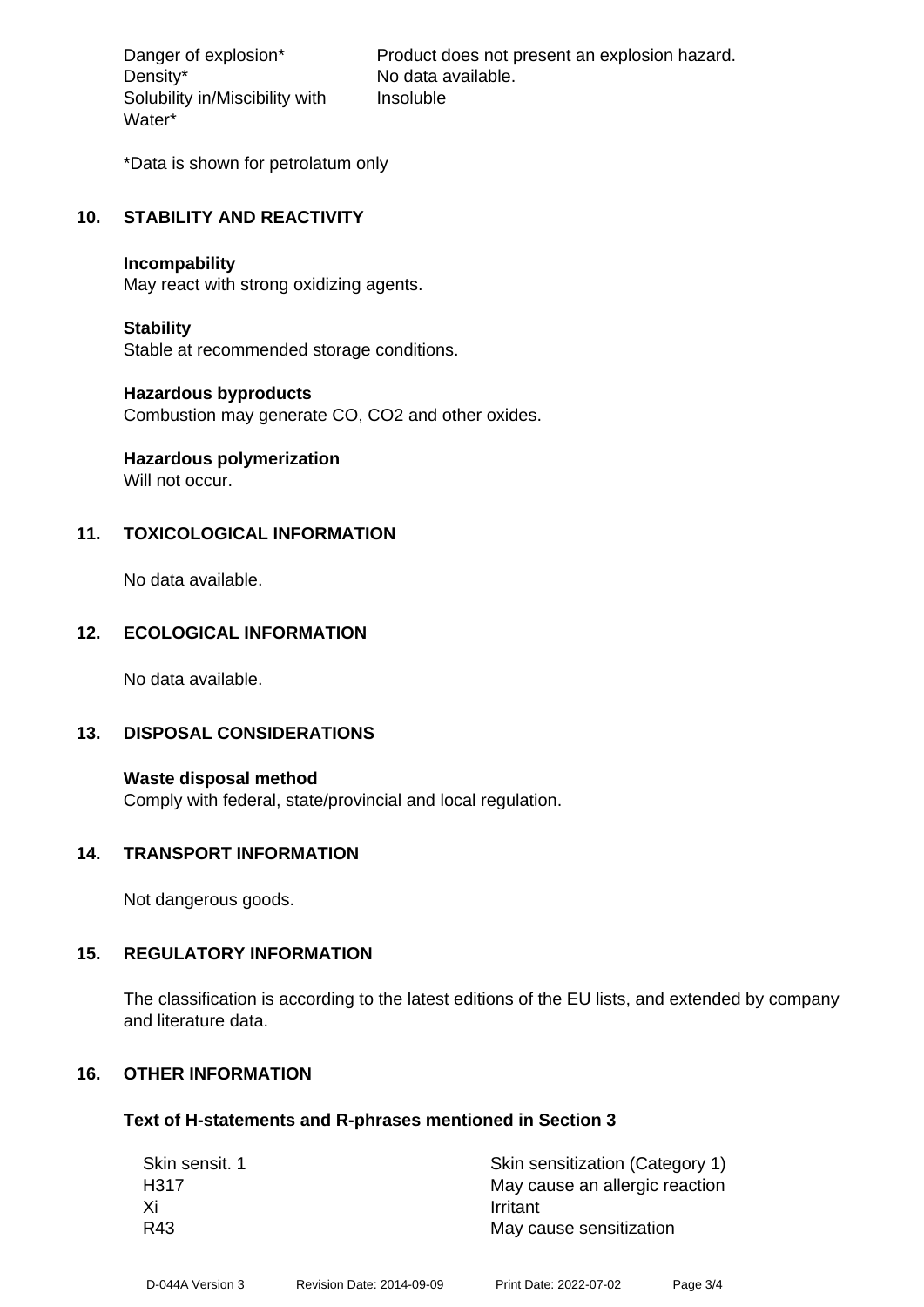Density\* No data available. Solubility in/Miscibility with Water\*

Danger of explosion\* Product does not present an explosion hazard. Insoluble

\*Data is shown for petrolatum only

#### **10. STABILITY AND REACTIVITY**

#### **Incompability**

May react with strong oxidizing agents.

#### **Stability**

Stable at recommended storage conditions.

#### **Hazardous byproducts**

Combustion may generate CO, CO2 and other oxides.

# **Hazardous polymerization**

Will not occur.

# **11. TOXICOLOGICAL INFORMATION**

No data available.

# **12. ECOLOGICAL INFORMATION**

No data available.

#### **13. DISPOSAL CONSIDERATIONS**

**Waste disposal method** Comply with federal, state/provincial and local regulation.

#### **14. TRANSPORT INFORMATION**

Not dangerous goods.

#### **15. REGULATORY INFORMATION**

The classification is according to the latest editions of the EU lists, and extended by company and literature data.

# **16. OTHER INFORMATION**

#### **Text of H-statements and R-phrases mentioned in Section 3**

| Skin sensit. 1 | Skin sensitization (Category 1) |  |  |
|----------------|---------------------------------|--|--|
| H317           | May cause an allergic reaction  |  |  |
| Хi             | Irritant                        |  |  |
| R43            | May cause sensitization         |  |  |
|                |                                 |  |  |